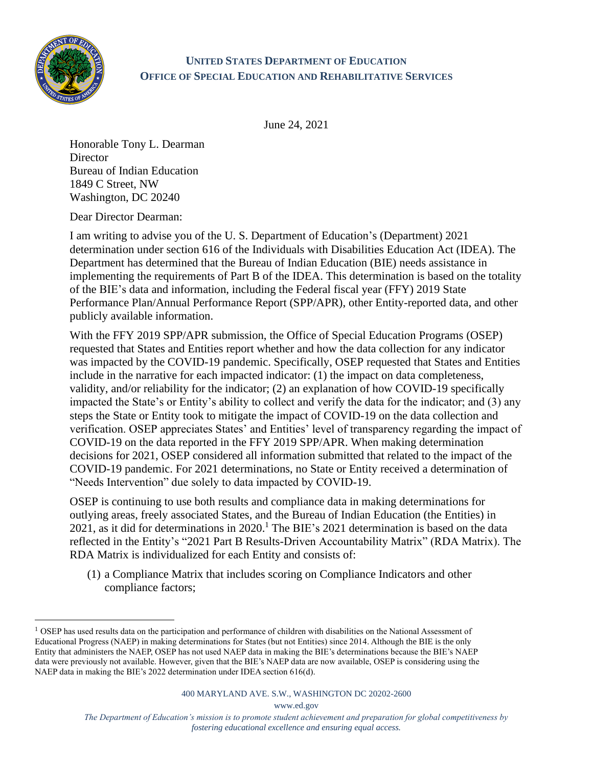

## **UNITED STATES DEPARTMENT OF EDUCATION OFFICE OF SPECIAL EDUCATION AND REHABILITATIVE SERVICES**

June 24, 2021

Honorable Tony L. Dearman **Director** Bureau of Indian Education 1849 C Street, NW Washington, DC 20240

Dear Director Dearman:

I am writing to advise you of the U. S. Department of Education's (Department) 2021 determination under section 616 of the Individuals with Disabilities Education Act (IDEA). The Department has determined that the Bureau of Indian Education (BIE) needs assistance in implementing the requirements of Part B of the IDEA. This determination is based on the totality of the BIE's data and information, including the Federal fiscal year (FFY) 2019 State Performance Plan/Annual Performance Report (SPP/APR), other Entity-reported data, and other publicly available information.

With the FFY 2019 SPP/APR submission, the Office of Special Education Programs (OSEP) requested that States and Entities report whether and how the data collection for any indicator was impacted by the COVID-19 pandemic. Specifically, OSEP requested that States and Entities include in the narrative for each impacted indicator: (1) the impact on data completeness, validity, and/or reliability for the indicator; (2) an explanation of how COVID-19 specifically impacted the State's or Entity's ability to collect and verify the data for the indicator; and (3) any steps the State or Entity took to mitigate the impact of COVID-19 on the data collection and verification. OSEP appreciates States' and Entities' level of transparency regarding the impact of COVID-19 on the data reported in the FFY 2019 SPP/APR. When making determination decisions for 2021, OSEP considered all information submitted that related to the impact of the COVID-19 pandemic. For 2021 determinations, no State or Entity received a determination of "Needs Intervention" due solely to data impacted by COVID-19.

OSEP is continuing to use both results and compliance data in making determinations for outlying areas, freely associated States, and the Bureau of Indian Education (the Entities) in 2021, as it did for determinations in 2020. <sup>1</sup> The BIE's 2021 determination is based on the data reflected in the Entity's "2021 Part B Results-Driven Accountability Matrix" (RDA Matrix). The RDA Matrix is individualized for each Entity and consists of:

(1) a Compliance Matrix that includes scoring on Compliance Indicators and other compliance factors;

www.ed.gov

<sup>&</sup>lt;sup>1</sup> OSEP has used results data on the participation and performance of children with disabilities on the National Assessment of Educational Progress (NAEP) in making determinations for States (but not Entities) since 2014. Although the BIE is the only Entity that administers the NAEP, OSEP has not used NAEP data in making the BIE's determinations because the BIE's NAEP data were previously not available. However, given that the BIE's NAEP data are now available, OSEP is considering using the NAEP data in making the BIE's 2022 determination under IDEA section 616(d).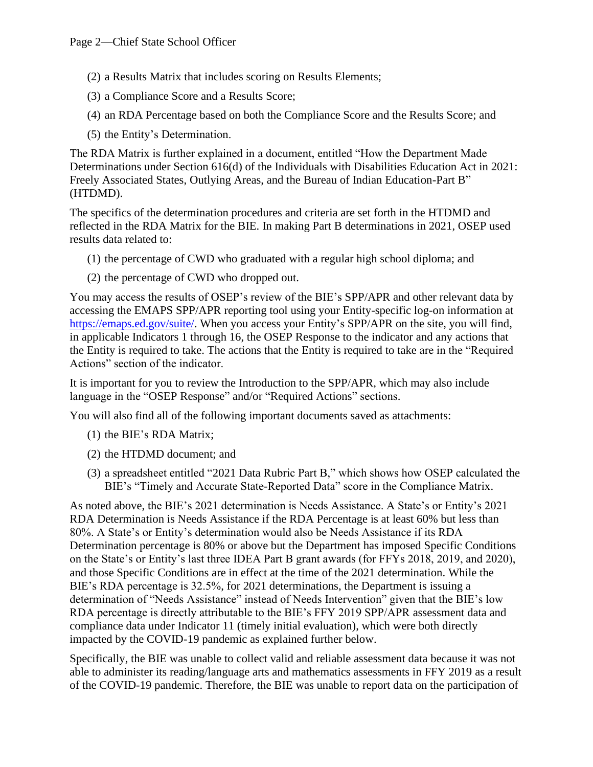- (2) a Results Matrix that includes scoring on Results Elements;
- (3) a Compliance Score and a Results Score;
- (4) an RDA Percentage based on both the Compliance Score and the Results Score; and
- (5) the Entity's Determination.

The RDA Matrix is further explained in a document, entitled "How the Department Made Determinations under Section 616(d) of the Individuals with Disabilities Education Act in 2021: Freely Associated States, Outlying Areas, and the Bureau of Indian Education-Part B" (HTDMD).

The specifics of the determination procedures and criteria are set forth in the HTDMD and reflected in the RDA Matrix for the BIE. In making Part B determinations in 2021, OSEP used results data related to:

- (1) the percentage of CWD who graduated with a regular high school diploma; and
- (2) the percentage of CWD who dropped out.

You may access the results of OSEP's review of the BIE's SPP/APR and other relevant data by accessing the EMAPS SPP/APR reporting tool using your Entity-specific log-on information at [https://emaps.ed.gov/suite/.](https://emaps.ed.gov/suite/) When you access your Entity's SPP/APR on the site, you will find, in applicable Indicators 1 through 16, the OSEP Response to the indicator and any actions that the Entity is required to take. The actions that the Entity is required to take are in the "Required Actions" section of the indicator.

It is important for you to review the Introduction to the SPP/APR, which may also include language in the "OSEP Response" and/or "Required Actions" sections.

You will also find all of the following important documents saved as attachments:

- (1) the BIE's RDA Matrix;
- (2) the HTDMD document; and
- (3) a spreadsheet entitled "2021 Data Rubric Part B," which shows how OSEP calculated the BIE's "Timely and Accurate State-Reported Data" score in the Compliance Matrix.

As noted above, the BIE's 2021 determination is Needs Assistance. A State's or Entity's 2021 RDA Determination is Needs Assistance if the RDA Percentage is at least 60% but less than 80%. A State's or Entity's determination would also be Needs Assistance if its RDA Determination percentage is 80% or above but the Department has imposed Specific Conditions on the State's or Entity's last three IDEA Part B grant awards (for FFYs 2018, 2019, and 2020), and those Specific Conditions are in effect at the time of the 2021 determination. While the BIE's RDA percentage is 32.5%, for 2021 determinations, the Department is issuing a determination of "Needs Assistance" instead of Needs Intervention" given that the BIE's low RDA percentage is directly attributable to the BIE's FFY 2019 SPP/APR assessment data and compliance data under Indicator 11 (timely initial evaluation), which were both directly impacted by the COVID-19 pandemic as explained further below.

Specifically, the BIE was unable to collect valid and reliable assessment data because it was not able to administer its reading/language arts and mathematics assessments in FFY 2019 as a result of the COVID-19 pandemic. Therefore, the BIE was unable to report data on the participation of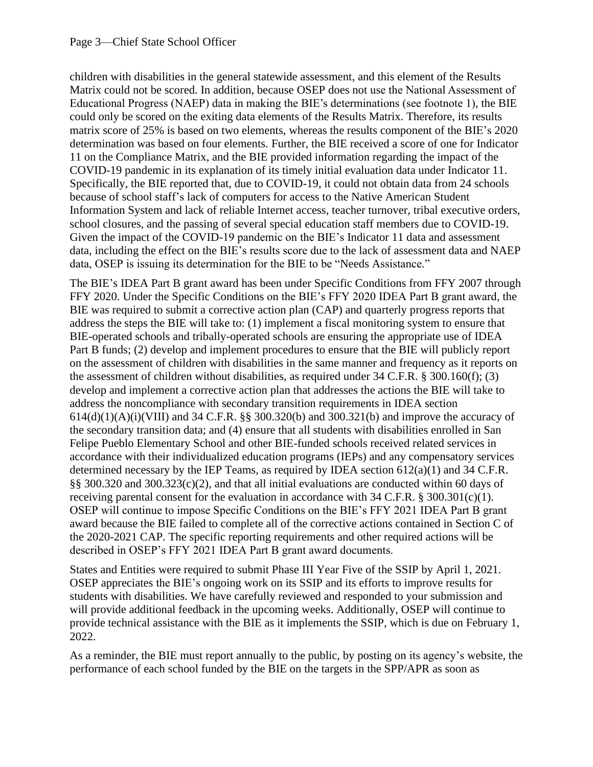children with disabilities in the general statewide assessment, and this element of the Results Matrix could not be scored. In addition, because OSEP does not use the National Assessment of Educational Progress (NAEP) data in making the BIE's determinations (see footnote 1), the BIE could only be scored on the exiting data elements of the Results Matrix. Therefore, its results matrix score of 25% is based on two elements, whereas the results component of the BIE's 2020 determination was based on four elements. Further, the BIE received a score of one for Indicator 11 on the Compliance Matrix, and the BIE provided information regarding the impact of the COVID-19 pandemic in its explanation of its timely initial evaluation data under Indicator 11. Specifically, the BIE reported that, due to COVID-19, it could not obtain data from 24 schools because of school staff's lack of computers for access to the Native American Student Information System and lack of reliable Internet access, teacher turnover, tribal executive orders, school closures, and the passing of several special education staff members due to COVID-19. Given the impact of the COVID-19 pandemic on the BIE's Indicator 11 data and assessment data, including the effect on the BIE's results score due to the lack of assessment data and NAEP data, OSEP is issuing its determination for the BIE to be "Needs Assistance."

The BIE's IDEA Part B grant award has been under Specific Conditions from FFY 2007 through FFY 2020. Under the Specific Conditions on the BIE's FFY 2020 IDEA Part B grant award, the BIE was required to submit a corrective action plan (CAP) and quarterly progress reports that address the steps the BIE will take to: (1) implement a fiscal monitoring system to ensure that BIE-operated schools and tribally-operated schools are ensuring the appropriate use of IDEA Part B funds; (2) develop and implement procedures to ensure that the BIE will publicly report on the assessment of children with disabilities in the same manner and frequency as it reports on the assessment of children without disabilities, as required under 34 C.F.R. § 300.160(f); (3) develop and implement a corrective action plan that addresses the actions the BIE will take to address the noncompliance with secondary transition requirements in IDEA section  $614(d)(1)(A)(i)(VIII)$  and 34 C.F.R. §§ 300.320(b) and 300.321(b) and improve the accuracy of the secondary transition data; and (4) ensure that all students with disabilities enrolled in San Felipe Pueblo Elementary School and other BIE-funded schools received related services in accordance with their individualized education programs (IEPs) and any compensatory services determined necessary by the IEP Teams, as required by IDEA section 612(a)(1) and 34 C.F.R. §§ 300.320 and 300.323(c)(2), and that all initial evaluations are conducted within 60 days of receiving parental consent for the evaluation in accordance with  $34$  C.F.R. § 300.301(c)(1). OSEP will continue to impose Specific Conditions on the BIE's FFY 2021 IDEA Part B grant award because the BIE failed to complete all of the corrective actions contained in Section C of the 2020-2021 CAP. The specific reporting requirements and other required actions will be described in OSEP's FFY 2021 IDEA Part B grant award documents.

States and Entities were required to submit Phase III Year Five of the SSIP by April 1, 2021. OSEP appreciates the BIE's ongoing work on its SSIP and its efforts to improve results for students with disabilities. We have carefully reviewed and responded to your submission and will provide additional feedback in the upcoming weeks. Additionally, OSEP will continue to provide technical assistance with the BIE as it implements the SSIP, which is due on February 1, 2022.

As a reminder, the BIE must report annually to the public, by posting on its agency's website, the performance of each school funded by the BIE on the targets in the SPP/APR as soon as